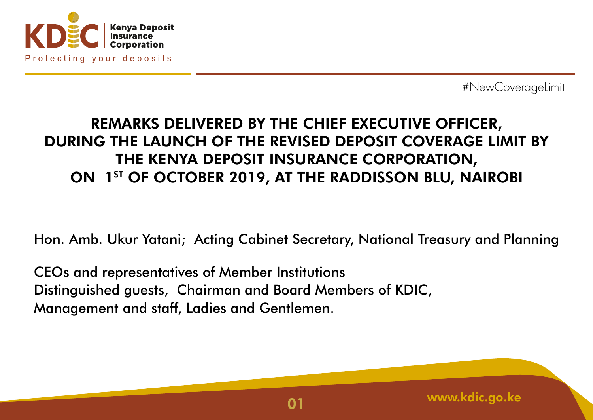

## REMARKS DELIVERED BY THE CHIEF EXECUTIVE OFFICER, DURING THE LAUNCH OF THE REVISED DEPOSIT COVERAGE LIMIT BY THE KENYA DEPOSIT INSURANCE CORPORATION, ON 1ST OF OCTOBER 2019, AT THE RADDISSON BLU, NAIROBI

Hon. Amb. Ukur Yatani; Acting Cabinet Secretary, National Treasury and Planning

CEOs and representatives of Member Institutions Distinguished guests, Chairman and Board Members of KDIC, Management and staff, Ladies and Gentlemen.

www.kdic.go.ke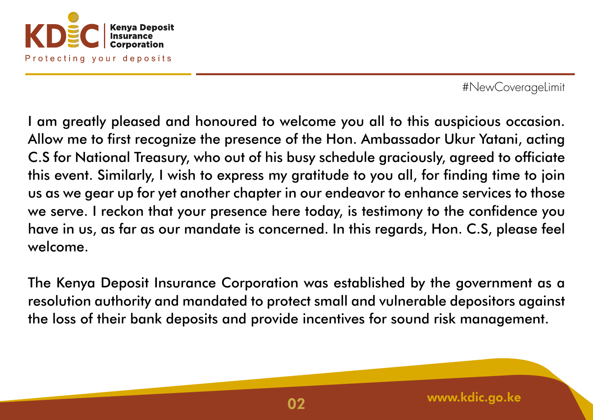

I am greatly pleased and honoured to welcome you all to this auspicious occasion. Allow me to first recognize the presence of the Hon. Ambassador Ukur Yatani, acting C.S for National Treasury, who out of his busy schedule graciously, agreed to officiate this event. Similarly, I wish to express my gratitude to you all, for finding time to join us as we gear up for yet another chapter in our endeavor to enhance services to those we serve. I reckon that your presence here today, is testimony to the confidence you have in us, as far as our mandate is concerned. In this regards, Hon. C.S, please feel welcome.

The Kenya Deposit Insurance Corporation was established by the government as a resolution authority and mandated to protect small and vulnerable depositors against the loss of their bank deposits and provide incentives for sound risk management.

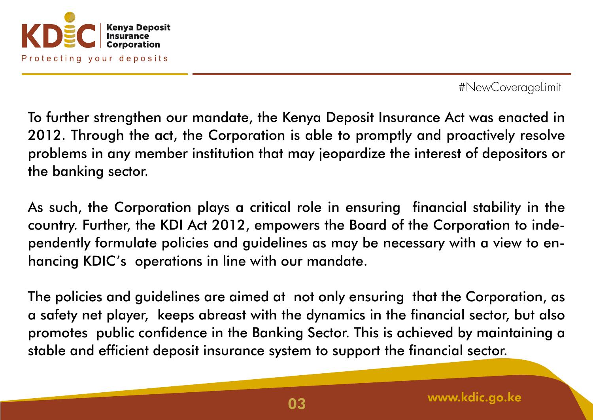

To further strengthen our mandate, the Kenya Deposit Insurance Act was enacted in 2012. Through the act, the Corporation is able to promptly and proactively resolve problems in any member institution that may jeopardize the interest of depositors or the banking sector.

As such, the Corporation plays a critical role in ensuring financial stability in the country. Further, the KDI Act 2012, empowers the Board of the Corporation to independently formulate policies and guidelines as may be necessary with a view to enhancing KDIC's operations in line with our mandate.

The policies and guidelines are aimed at not only ensuring that the Corporation, as a safety net player, keeps abreast with the dynamics in the financial sector, but also promotes public confidence in the Banking Sector. This is achieved by maintaining a stable and efficient deposit insurance system to support the financial sector.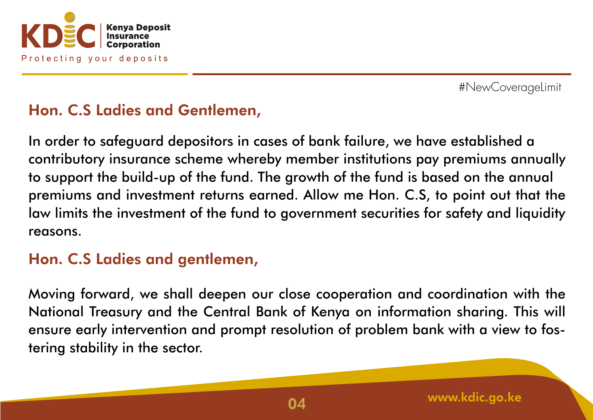

# Hon. C.S Ladies and Gentlemen,

In order to safeguard depositors in cases of bank failure, we have established a contributory insurance scheme whereby member institutions pay premiums annually to support the build-up of the fund. The growth of the fund is based on the annual premiums and investment returns earned. Allow me Hon. C.S, to point out that the law limits the investment of the fund to government securities for safety and liquidity reasons.

### Hon. C.S Ladies and gentlemen,

Moving forward, we shall deepen our close cooperation and coordination with the National Treasury and the Central Bank of Kenya on information sharing. This will ensure early intervention and prompt resolution of problem bank with a view to fostering stability in the sector.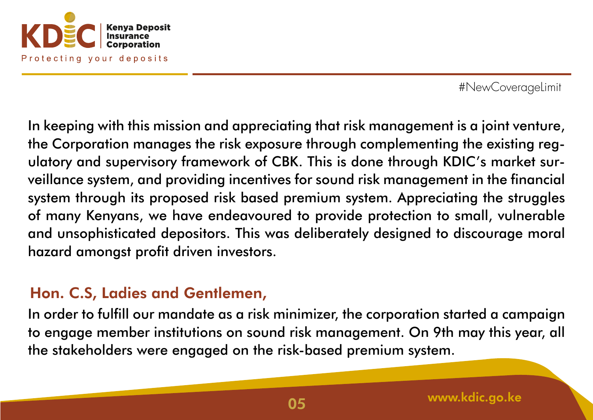

In keeping with this mission and appreciating that risk management is a joint venture, the Corporation manages the risk exposure through complementing the existing regulatory and supervisory framework of CBK. This is done through KDIC's market surveillance system, and providing incentives for sound risk management in the financial system through its proposed risk based premium system. Appreciating the struggles of many Kenyans, we have endeavoured to provide protection to small, vulnerable and unsophisticated depositors. This was deliberately designed to discourage moral hazard amongst profit driven investors.

### Hon. C.S, Ladies and Gentlemen,

In order to fulfill our mandate as a risk minimizer, the corporation started a campaign to engage member institutions on sound risk management. On 9th may this year, all the stakeholders were engaged on the risk-based premium system.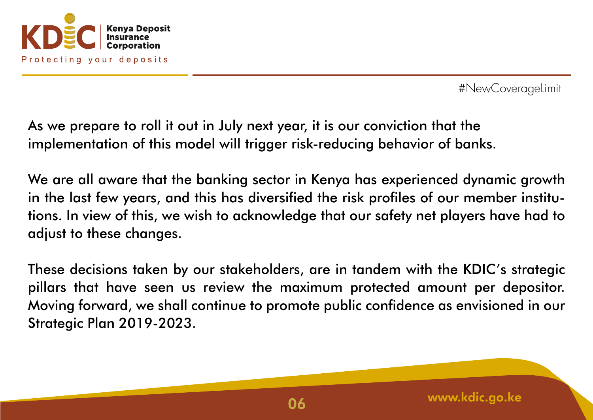

As we prepare to roll it out in July next year, it is our conviction that the implementation of this model will trigger risk-reducing behavior of banks.

We are all aware that the banking sector in Kenya has experienced dynamic growth in the last few years, and this has diversified the risk profiles of our member institutions. In view of this, we wish to acknowledge that our safety net players have had to adjust to these changes.

These decisions taken by our stakeholders, are in tandem with the KDIC's strategic pillars that have seen us review the maximum protected amount per depositor. Moving forward, we shall continue to promote public confidence as envisioned in our Strategic Plan 2019-2023.